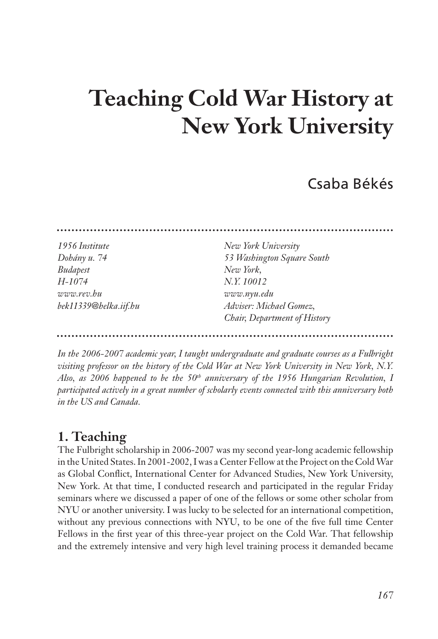# **Teaching Cold War History at New York University**

## Csaba Békés

| 1956 Institute        | New York University          |
|-----------------------|------------------------------|
| Dohány u. 74          | 53 Washington Square South   |
| <b>Budapest</b>       | New York,                    |
| H-1074                | N.Y. 10012                   |
| www.rev.bu            | www.nyu.edu                  |
| bek11339@helka.iif.hu | Adviser: Michael Gomez,      |
|                       | Chair, Department of History |

*In the 2006-2007 academic year, I taught undergraduate and graduate courses as a Fulbright visiting professor on the history of the Cold War at New York University in New York, N.Y. Also, as 2006 happened to be the 50th anniversary of the 1956 Hungarian Revolution, I participated actively in a great number of scholarly events connected with this anniversary both in the US and Canada.* 

## **1. Teaching**

The Fulbright scholarship in 2006-2007 was my second year-long academic fellowship in the United States. In 2001-2002, I was a Center Fellow at the Project on the Cold War as Global Conflict, International Center for Advanced Studies, New York University, New York. At that time, I conducted research and participated in the regular Friday seminars where we discussed a paper of one of the fellows or some other scholar from NYU or another university. I was lucky to be selected for an international competition, without any previous connections with NYU, to be one of the five full time Center Fellows in the first year of this three-year project on the Cold War. That fellowship and the extremely intensive and very high level training process it demanded became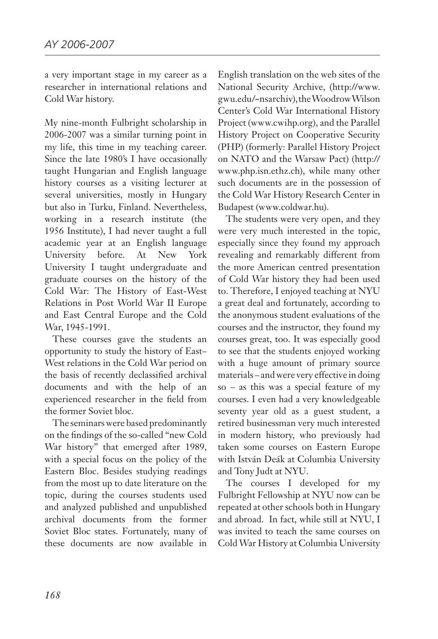a very important stage in my career as a researcher in international relations and Cold War history.

My nine-month Fulbright scholarship in 2006-2007 was a similar turning point in my life, this time in my teaching career. Since the late 1980's I have occasionally taught Hungarian and English language history courses as a visiting lecturer at several universities, mostly in Hungary but also in Turku, Finland. Nevertheless, working in a research institute (the 1956 Institute), I had never taught a full academic year at an English language University before. At New York University I taught undergraduate and graduate courses on the history of the Cold War: The History of East-West Relations in Post World War II Europe and East Central Europe and the Cold War, 1945-1991.

These courses gave the students an opportunity to study the history of East– West relations in the Cold War period on the basis of recently declassified archival documents and with the help of an experienced researcher in the field from the former Soviet bloc.

The seminars were based predominantly on the findings of the so-called "new Cold War history" that emerged after 1989, with a special focus on the policy of the Eastern Bloc. Besides studying readings from the most up to date literature on the topic, during the courses students used and analyzed published and unpublished archival documents from the former Soviet Bloc states. Fortunately, many of these documents are now available in

English translation on the web sites of the National Security Archive, (http://www. gwu.edu/~nsarchiv), the Woodrow Wilson Center's Cold War International History Project (www.cwihp.org), and the Parallel History Project on Cooperative Security (PHP) (formerly: Parallel History Project on NATO and the Warsaw Pact) (http:// www.php.isn.ethz.ch), while many other such documents are in the possession of the Cold War History Research Center in Budapest (www.coldwar.hu).

The students were very open, and they were very much interested in the topic, especially since they found my approach revealing and remarkably different from the more American centred presentation of Cold War history they had been used to. Therefore, I enjoyed teaching at NYU a great deal and fortunately, according to the anonymous student evaluations of the courses and the instructor, they found my courses great, too. It was especially good to see that the students enjoyed working with a huge amount of primary source materials – and were very effective in doing so – as this was a special feature of my courses. I even had a very knowledgeable seventy year old as a guest student, a retired businessman very much interested in modern history, who previously had taken some courses on Eastern Europe with István Deák at Columbia University and Tony Judt at NYU.

The courses I developed for my Fulbright Fellowship at NYU now can be repeated at other schools both in Hungary and abroad. In fact, while still at NYU, I was invited to teach the same courses on Cold War History at Columbia University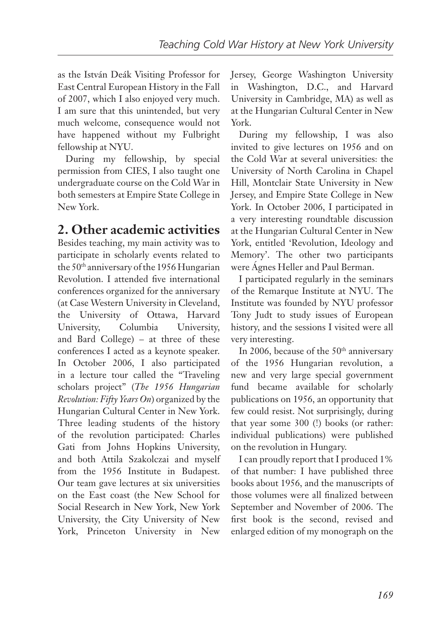as the István Deák Visiting Professor for East Central European History in the Fall of 2007, which I also enjoyed very much. I am sure that this unintended, but very much welcome, consequence would not have happened without my Fulbright fellowship at NYU.

During my fellowship, by special permission from CIES, I also taught one undergraduate course on the Cold War in both semesters at Empire State College in New York.

#### **2. Other academic activities**

Besides teaching, my main activity was to participate in scholarly events related to the 50<sup>th</sup> anniversary of the 1956 Hungarian Revolution. I attended five international conferences organized for the anniversary (at Case Western University in Cleveland, the University of Ottawa, Harvard University, Columbia University, and Bard College) – at three of these conferences I acted as a keynote speaker. In October 2006, I also participated in a lecture tour called the "Traveling scholars project" (*The 1956 Hungarian Revolution: Fifty Years On*) organized by the Hungarian Cultural Center in New York. Three leading students of the history of the revolution participated: Charles Gati from Johns Hopkins University, and both Attila Szakolczai and myself from the 1956 Institute in Budapest. Our team gave lectures at six universities on the East coast (the New School for Social Research in New York, New York University, the City University of New York, Princeton University in New

Jersey, George Washington University in Washington, D.C., and Harvard University in Cambridge, MA) as well as at the Hungarian Cultural Center in New York.

During my fellowship, I was also invited to give lectures on 1956 and on the Cold War at several universities: the University of North Carolina in Chapel Hill, Montclair State University in New Jersey, and Empire State College in New York. In October 2006, I participated in a very interesting roundtable discussion at the Hungarian Cultural Center in New York, entitled 'Revolution, Ideology and Memory'. The other two participants were Ágnes Heller and Paul Berman.

I participated regularly in the seminars of the Remarque Institute at NYU. The Institute was founded by NYU professor Tony Judt to study issues of European history, and the sessions I visited were all very interesting.

In 2006, because of the 50<sup>th</sup> anniversary of the 1956 Hungarian revolution, a new and very large special government fund became available for scholarly publications on 1956, an opportunity that few could resist. Not surprisingly, during that year some 300 (!) books (or rather: individual publications) were published on the revolution in Hungary.

I can proudly report that I produced 1% of that number: I have published three books about 1956, and the manuscripts of those volumes were all finalized between September and November of 2006. The first book is the second, revised and enlarged edition of my monograph on the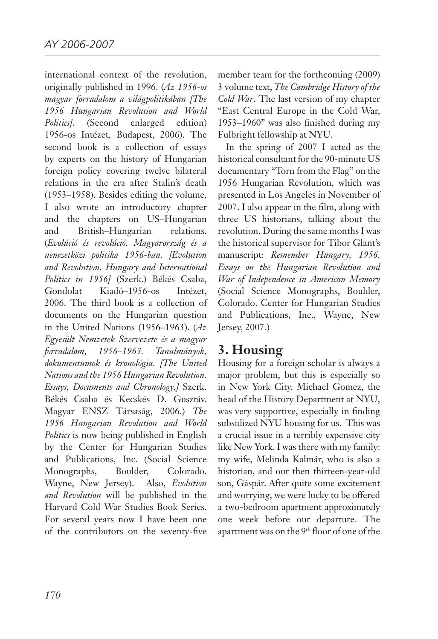international context of the revolution, originally published in 1996. (*Az 1956-os magyar forradalom a világpolitikában [The 1956 Hungarian Revolution and World Politics]*. (Second enlarged edition) 1956-os Intézet, Budapest, 2006). The second book is a collection of essays by experts on the history of Hungarian foreign policy covering twelve bilateral relations in the era after Stalin's death (1953–1958). Besides editing the volume, I also wrote an introductory chapter and the chapters on US–Hungarian and British–Hungarian relations. (*Evolúció és revolúció. Magyarország és a nemzetközi politika 1956-ban. [Evolution and Revolution. Hungary and International Politics in 1956]* (Szerk.) Békés Csaba, Gondolat Kiadó–1956-os Intézet, 2006. The third book is a collection of documents on the Hungarian question in the United Nations (1956–1963). (*Az Egyesült Nemzetek Szervezete és a magyar forradalom, 1956–1963. Tanulmányok, dokumentumok és kronológia. [The United Nations and the 1956 Hungarian Revolution. Essays, Documents and Chronology.]* Szerk. Békés Csaba és Kecskés D. Gusztáv. Magyar ENSZ Társaság, 2006.) *The 1956 Hungarian Revolution and World Politics* is now being published in English by the Center for Hungarian Studies and Publications, Inc. (Social Science Monographs, Boulder, Colorado. Wayne, New Jersey). Also, *Evolution and Revolution* will be published in the Harvard Cold War Studies Book Series. For several years now I have been one of the contributors on the seventy-five

member team for the forthcoming (2009) 3 volume text, *The Cambridge History of the Cold War*. The last version of my chapter "East Central Europe in the Cold War, 1953–1960" was also finished during my Fulbright fellowship at NYU.

In the spring of 2007 I acted as the historical consultant for the 90-minute US documentary "Torn from the Flag" on the 1956 Hungarian Revolution, which was presented in Los Angeles in November of 2007. I also appear in the film, along with three US historians, talking about the revolution. During the same months I was the historical supervisor for Tibor Glant's manuscript: *Remember Hungary, 1956. Essays on the Hungarian Revolution and War of Independence in American Memory* (Social Science Monographs, Boulder, Colorado. Center for Hungarian Studies and Publications, Inc., Wayne, New Jersey, 2007.)

#### **3. Housing**

Housing for a foreign scholar is always a major problem, but this is especially so in New York City. Michael Gomez, the head of the History Department at NYU, was very supportive, especially in finding subsidized NYU housing for us. This was a crucial issue in a terribly expensive city like New York. I was there with my family: my wife, Melinda Kalmár, who is also a historian, and our then thirteen-year-old son, Gáspár. After quite some excitement and worrying, we were lucky to be offered a two-bedroom apartment approximately one week before our departure. The apartment was on the 9th floor of one of the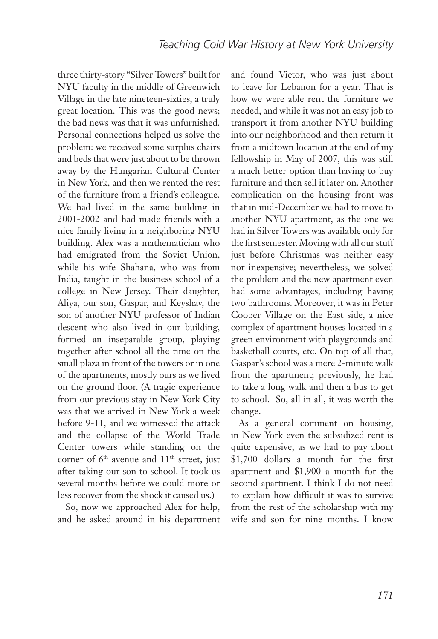three thirty-story "Silver Towers" built for NYU faculty in the middle of Greenwich Village in the late nineteen-sixties, a truly great location. This was the good news; the bad news was that it was unfurnished. Personal connections helped us solve the problem: we received some surplus chairs and beds that were just about to be thrown away by the Hungarian Cultural Center in New York, and then we rented the rest of the furniture from a friend's colleague. We had lived in the same building in 2001-2002 and had made friends with a nice family living in a neighboring NYU building. Alex was a mathematician who had emigrated from the Soviet Union, while his wife Shahana, who was from India, taught in the business school of a college in New Jersey. Their daughter, Aliya, our son, Gaspar, and Keyshav, the son of another NYU professor of Indian descent who also lived in our building, formed an inseparable group, playing together after school all the time on the small plaza in front of the towers or in one of the apartments, mostly ours as we lived on the ground floor. (A tragic experience from our previous stay in New York City was that we arrived in New York a week before 9-11, and we witnessed the attack and the collapse of the World Trade Center towers while standing on the corner of  $6<sup>th</sup>$  avenue and  $11<sup>th</sup>$  street, just after taking our son to school. It took us several months before we could more or less recover from the shock it caused us.)

So, now we approached Alex for help, and he asked around in his department and found Victor, who was just about to leave for Lebanon for a year. That is how we were able rent the furniture we needed, and while it was not an easy job to transport it from another NYU building into our neighborhood and then return it from a midtown location at the end of my fellowship in May of 2007, this was still a much better option than having to buy furniture and then sell it later on. Another complication on the housing front was that in mid-December we had to move to another NYU apartment, as the one we had in Silver Towers was available only for the first semester. Moving with all our stuff just before Christmas was neither easy nor inexpensive; nevertheless, we solved the problem and the new apartment even had some advantages, including having two bathrooms. Moreover, it was in Peter Cooper Village on the East side, a nice complex of apartment houses located in a green environment with playgrounds and basketball courts, etc. On top of all that, Gaspar's school was a mere 2-minute walk from the apartment; previously, he had to take a long walk and then a bus to get to school. So, all in all, it was worth the change.

As a general comment on housing, in New York even the subsidized rent is quite expensive, as we had to pay about \$1,700 dollars a month for the first apartment and \$1,900 a month for the second apartment. I think I do not need to explain how difficult it was to survive from the rest of the scholarship with my wife and son for nine months. I know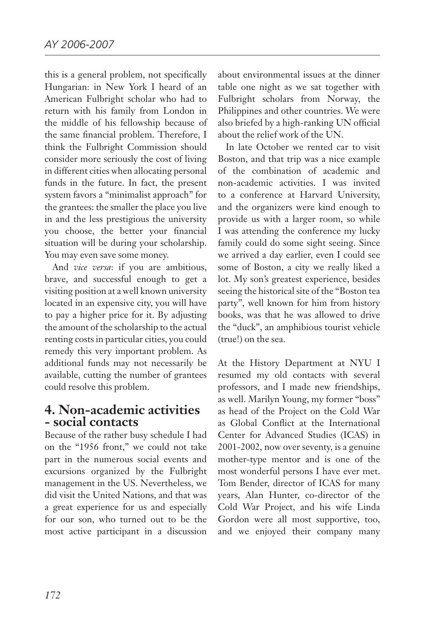this is a general problem, not specifically Hungarian: in New York I heard of an American Fulbright scholar who had to return with his family from London in the middle of his fellowship because of the same financial problem. Therefore, I think the Fulbright Commission should consider more seriously the cost of living in different cities when allocating personal funds in the future. In fact, the present system favors a "minimalist approach" for the grantees: the smaller the place you live in and the less prestigious the university you choose, the better your financial situation will be during your scholarship. You may even save some money.

And *vice versa*: if you are ambitious, brave, and successful enough to get a visiting position at a well known university located in an expensive city, you will have to pay a higher price for it. By adjusting the amount of the scholarship to the actual renting costs in particular cities, you could remedy this very important problem. As additional funds may not necessarily be available, cutting the number of grantees could resolve this problem.

#### **4. Non-academic activities - social contacts**

Because of the rather busy schedule I had on the "1956 front," we could not take part in the numerous social events and excursions organized by the Fulbright management in the US. Nevertheless, we did visit the United Nations, and that was a great experience for us and especially for our son, who turned out to be the most active participant in a discussion

about environmental issues at the dinner table one night as we sat together with Fulbright scholars from Norway, the Philippines and other countries. We were also briefed by a high-ranking UN official about the relief work of the UN.

In late October we rented car to visit Boston, and that trip was a nice example of the combination of academic and non-academic activities. I was invited to a conference at Harvard University, and the organizers were kind enough to provide us with a larger room, so while I was attending the conference my lucky family could do some sight seeing. Since we arrived a day earlier, even I could see some of Boston, a city we really liked a lot. My son's greatest experience, besides seeing the historical site of the "Boston tea party", well known for him from history books, was that he was allowed to drive the "duck", an amphibious tourist vehicle (true!) on the sea.

At the History Department at NYU I resumed my old contacts with several professors, and I made new friendships, as well. Marilyn Young, my former "boss" as head of the Project on the Cold War as Global Conflict at the International Center for Advanced Studies (ICAS) in 2001-2002, now over seventy, is a genuine mother-type mentor and is one of the most wonderful persons I have ever met. Tom Bender, director of ICAS for many years, Alan Hunter, co-director of the Cold War Project, and his wife Linda Gordon were all most supportive, too, and we enjoyed their company many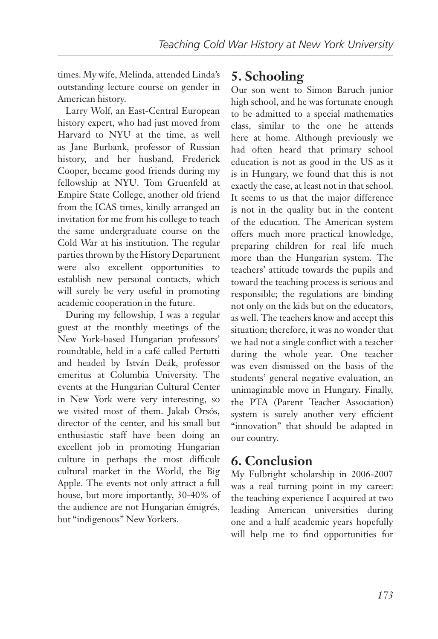times. My wife, Melinda, attended Linda's outstanding lecture course on gender in American history.

Larry Wolf, an East-Central European history expert, who had just moved from Harvard to NYU at the time, as well as Jane Burbank, professor of Russian history, and her husband, Frederick Cooper, became good friends during my fellowship at NYU. Tom Gruenfeld at Empire State College, another old friend from the ICAS times, kindly arranged an invitation for me from his college to teach the same undergraduate course on the Cold War at his institution. The regular parties thrown by the History Department were also excellent opportunities to establish new personal contacts, which will surely be very useful in promoting academic cooperation in the future.

During my fellowship, I was a regular guest at the monthly meetings of the New York-based Hungarian professors' roundtable, held in a café called Pertutti and headed by István Deák, professor emeritus at Columbia University. The events at the Hungarian Cultural Center in New York were very interesting, so we visited most of them. Jakab Orsós, director of the center, and his small but enthusiastic staff have been doing an excellent job in promoting Hungarian culture in perhaps the most difficult cultural market in the World, the Big Apple. The events not only attract a full house, but more importantly, 30-40% of the audience are not Hungarian émigrés, but "indigenous" New Yorkers.

### **5. Schooling**

Our son went to Simon Baruch junior high school, and he was fortunate enough to be admitted to a special mathematics class, similar to the one he attends here at home. Although previously we had often heard that primary school education is not as good in the US as it is in Hungary, we found that this is not exactly the case, at least not in that school. It seems to us that the major difference is not in the quality but in the content of the education. The American system offers much more practical knowledge, preparing children for real life much more than the Hungarian system. The teachers' attitude towards the pupils and toward the teaching process is serious and responsible; the regulations are binding not only on the kids but on the educators, as well. The teachers know and accept this situation; therefore, it was no wonder that we had not a single conflict with a teacher during the whole year. One teacher was even dismissed on the basis of the students' general negative evaluation, an unimaginable move in Hungary. Finally, the PTA (Parent Teacher Association) system is surely another very efficient "innovation" that should be adapted in our country.

#### **6. Conclusion**

My Fulbright scholarship in 2006-2007 was a real turning point in my career: the teaching experience I acquired at two leading American universities during one and a half academic years hopefully will help me to find opportunities for